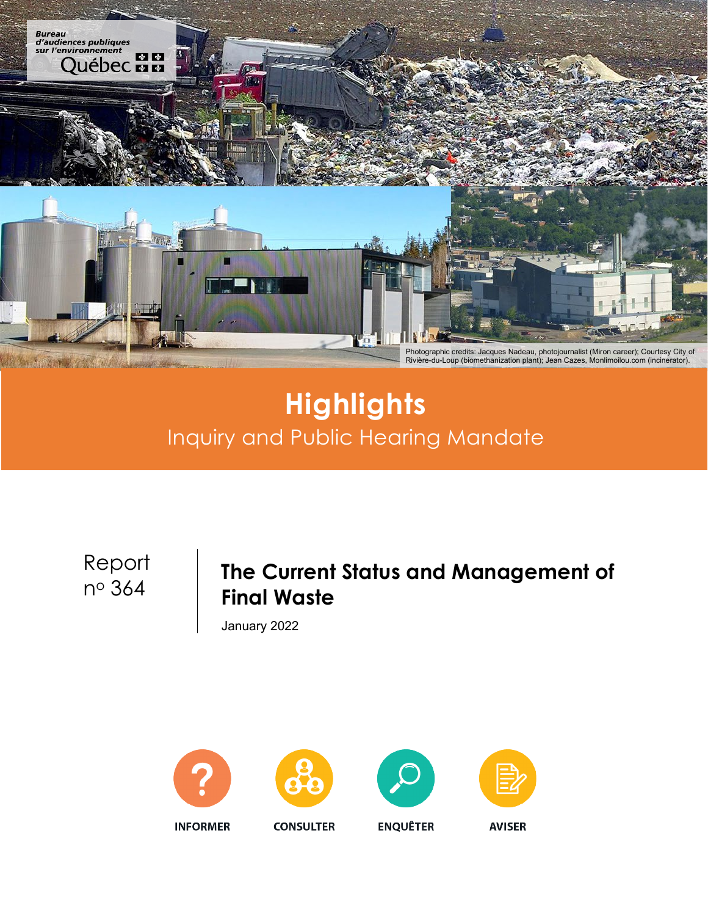

# **Highlights** Inquiry and Public Hearing Mandate

Report

## no <sup>364</sup> **The Current Status and Management of Final Waste**

January 2022











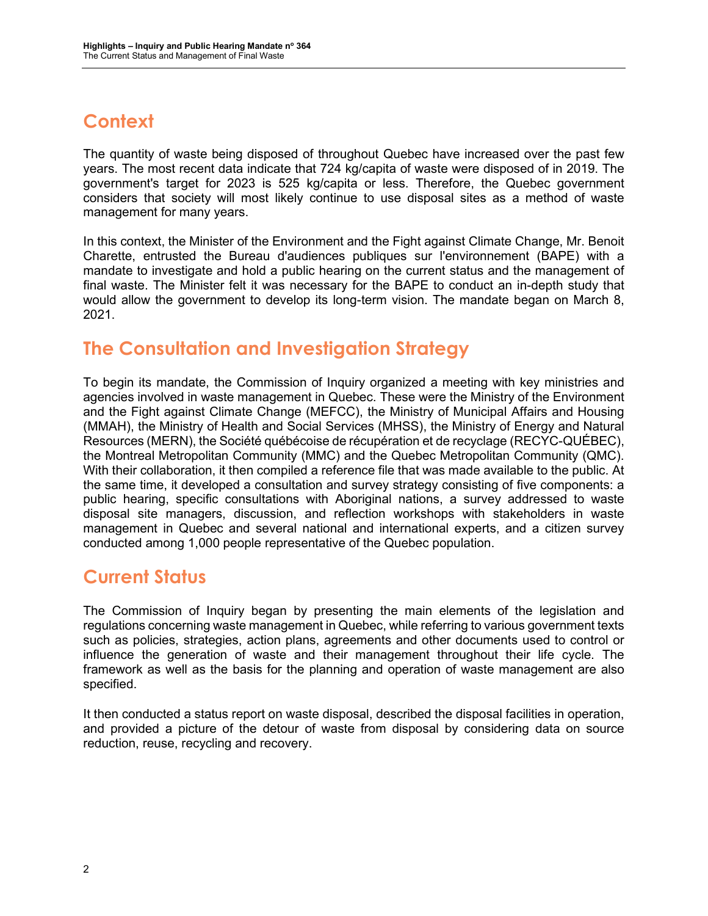### **Context**

The quantity of waste being disposed of throughout Quebec have increased over the past few years. The most recent data indicate that 724 kg/capita of waste were disposed of in 2019. The government's target for 2023 is 525 kg/capita or less. Therefore, the Quebec government considers that society will most likely continue to use disposal sites as a method of waste management for many years.

In this context, the Minister of the Environment and the Fight against Climate Change, Mr. Benoit Charette, entrusted the Bureau d'audiences publiques sur l'environnement (BAPE) with a mandate to investigate and hold a public hearing on the current status and the management of final waste. The Minister felt it was necessary for the BAPE to conduct an in-depth study that would allow the government to develop its long-term vision. The mandate began on March 8, 2021.

#### **The Consultation and Investigation Strategy**

To begin its mandate, the Commission of Inquiry organized a meeting with key ministries and agencies involved in waste management in Quebec. These were the Ministry of the Environment and the Fight against Climate Change (MEFCC), the Ministry of Municipal Affairs and Housing (MMAH), the Ministry of Health and Social Services (MHSS), the Ministry of Energy and Natural Resources (MERN), the Société québécoise de récupération et de recyclage (RECYC-QUÉBEC), the Montreal Metropolitan Community (MMC) and the Quebec Metropolitan Community (QMC). With their collaboration, it then compiled a reference file that was made available to the public. At the same time, it developed a consultation and survey strategy consisting of five components: a public hearing, specific consultations with Aboriginal nations, a survey addressed to waste disposal site managers, discussion, and reflection workshops with stakeholders in waste management in Quebec and several national and international experts, and a citizen survey conducted among 1,000 people representative of the Quebec population.

#### **Current Status**

The Commission of Inquiry began by presenting the main elements of the legislation and regulations concerning waste management in Quebec, while referring to various government texts such as policies, strategies, action plans, agreements and other documents used to control or influence the generation of waste and their management throughout their life cycle. The framework as well as the basis for the planning and operation of waste management are also specified.

It then conducted a status report on waste disposal, described the disposal facilities in operation, and provided a picture of the detour of waste from disposal by considering data on source reduction, reuse, recycling and recovery.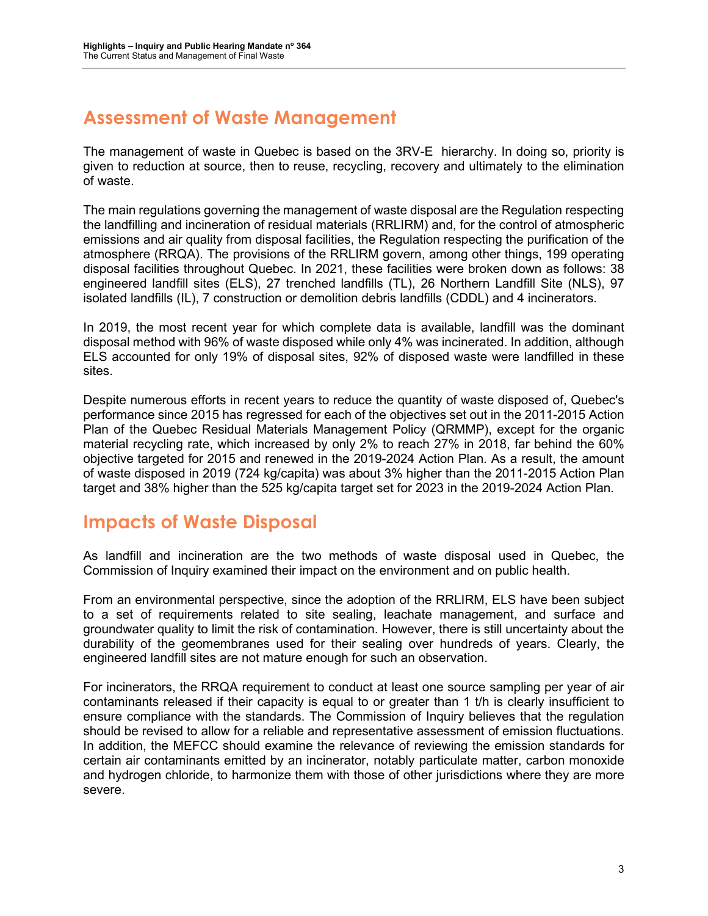### **Assessment of Waste Management**

The management of waste in Quebec is based on the 3RV-E hierarchy. In doing so, priority is given to reduction at source, then to reuse, recycling, recovery and ultimately to the elimination of waste.

The main regulations governing the management of waste disposal are the Regulation respecting the landfilling and incineration of residual materials (RRLIRM) and, for the control of atmospheric emissions and air quality from disposal facilities, the Regulation respecting the purification of the atmosphere (RRQA). The provisions of the RRLIRM govern, among other things, 199 operating disposal facilities throughout Quebec. In 2021, these facilities were broken down as follows: 38 engineered landfill sites (ELS), 27 trenched landfills (TL), 26 Northern Landfill Site (NLS), 97 isolated landfills (IL), 7 construction or demolition debris landfills (CDDL) and 4 incinerators.

In 2019, the most recent year for which complete data is available, landfill was the dominant disposal method with 96% of waste disposed while only 4% was incinerated. In addition, although ELS accounted for only 19% of disposal sites, 92% of disposed waste were landfilled in these sites.

Despite numerous efforts in recent years to reduce the quantity of waste disposed of, Quebec's performance since 2015 has regressed for each of the objectives set out in the 2011-2015 Action Plan of the Quebec Residual Materials Management Policy (QRMMP), except for the organic material recycling rate, which increased by only 2% to reach 27% in 2018, far behind the 60% objective targeted for 2015 and renewed in the 2019-2024 Action Plan. As a result, the amount of waste disposed in 2019 (724 kg/capita) was about 3% higher than the 2011-2015 Action Plan target and 38% higher than the 525 kg/capita target set for 2023 in the 2019-2024 Action Plan.

#### **Impacts of Waste Disposal**

As landfill and incineration are the two methods of waste disposal used in Quebec, the Commission of Inquiry examined their impact on the environment and on public health.

From an environmental perspective, since the adoption of the RRLIRM, ELS have been subject to a set of requirements related to site sealing, leachate management, and surface and groundwater quality to limit the risk of contamination. However, there is still uncertainty about the durability of the geomembranes used for their sealing over hundreds of years. Clearly, the engineered landfill sites are not mature enough for such an observation.

For incinerators, the RRQA requirement to conduct at least one source sampling per year of air contaminants released if their capacity is equal to or greater than 1 t/h is clearly insufficient to ensure compliance with the standards. The Commission of Inquiry believes that the regulation should be revised to allow for a reliable and representative assessment of emission fluctuations. In addition, the MEFCC should examine the relevance of reviewing the emission standards for certain air contaminants emitted by an incinerator, notably particulate matter, carbon monoxide and hydrogen chloride, to harmonize them with those of other jurisdictions where they are more severe.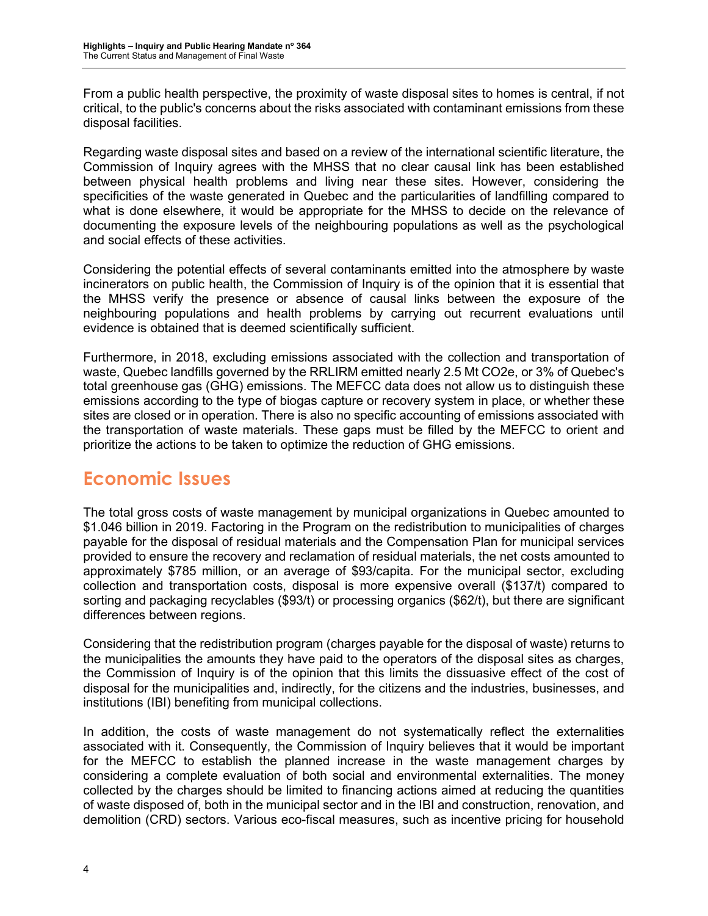From a public health perspective, the proximity of waste disposal sites to homes is central, if not critical, to the public's concerns about the risks associated with contaminant emissions from these disposal facilities.

Regarding waste disposal sites and based on a review of the international scientific literature, the Commission of Inquiry agrees with the MHSS that no clear causal link has been established between physical health problems and living near these sites. However, considering the specificities of the waste generated in Quebec and the particularities of landfilling compared to what is done elsewhere, it would be appropriate for the MHSS to decide on the relevance of documenting the exposure levels of the neighbouring populations as well as the psychological and social effects of these activities.

Considering the potential effects of several contaminants emitted into the atmosphere by waste incinerators on public health, the Commission of Inquiry is of the opinion that it is essential that the MHSS verify the presence or absence of causal links between the exposure of the neighbouring populations and health problems by carrying out recurrent evaluations until evidence is obtained that is deemed scientifically sufficient.

Furthermore, in 2018, excluding emissions associated with the collection and transportation of waste, Quebec landfills governed by the RRLIRM emitted nearly 2.5 Mt CO2e, or 3% of Quebec's total greenhouse gas (GHG) emissions. The MEFCC data does not allow us to distinguish these emissions according to the type of biogas capture or recovery system in place, or whether these sites are closed or in operation. There is also no specific accounting of emissions associated with the transportation of waste materials. These gaps must be filled by the MEFCC to orient and prioritize the actions to be taken to optimize the reduction of GHG emissions.

#### **Economic Issues**

The total gross costs of waste management by municipal organizations in Quebec amounted to \$1.046 billion in 2019. Factoring in the Program on the redistribution to municipalities of charges payable for the disposal of residual materials and the Compensation Plan for municipal services provided to ensure the recovery and reclamation of residual materials, the net costs amounted to approximately \$785 million, or an average of \$93/capita. For the municipal sector, excluding collection and transportation costs, disposal is more expensive overall (\$137/t) compared to sorting and packaging recyclables (\$93/t) or processing organics (\$62/t), but there are significant differences between regions.

Considering that the redistribution program (charges payable for the disposal of waste) returns to the municipalities the amounts they have paid to the operators of the disposal sites as charges, the Commission of Inquiry is of the opinion that this limits the dissuasive effect of the cost of disposal for the municipalities and, indirectly, for the citizens and the industries, businesses, and institutions (IBI) benefiting from municipal collections.

In addition, the costs of waste management do not systematically reflect the externalities associated with it. Consequently, the Commission of Inquiry believes that it would be important for the MEFCC to establish the planned increase in the waste management charges by considering a complete evaluation of both social and environmental externalities. The money collected by the charges should be limited to financing actions aimed at reducing the quantities of waste disposed of, both in the municipal sector and in the IBI and construction, renovation, and demolition (CRD) sectors. Various eco-fiscal measures, such as incentive pricing for household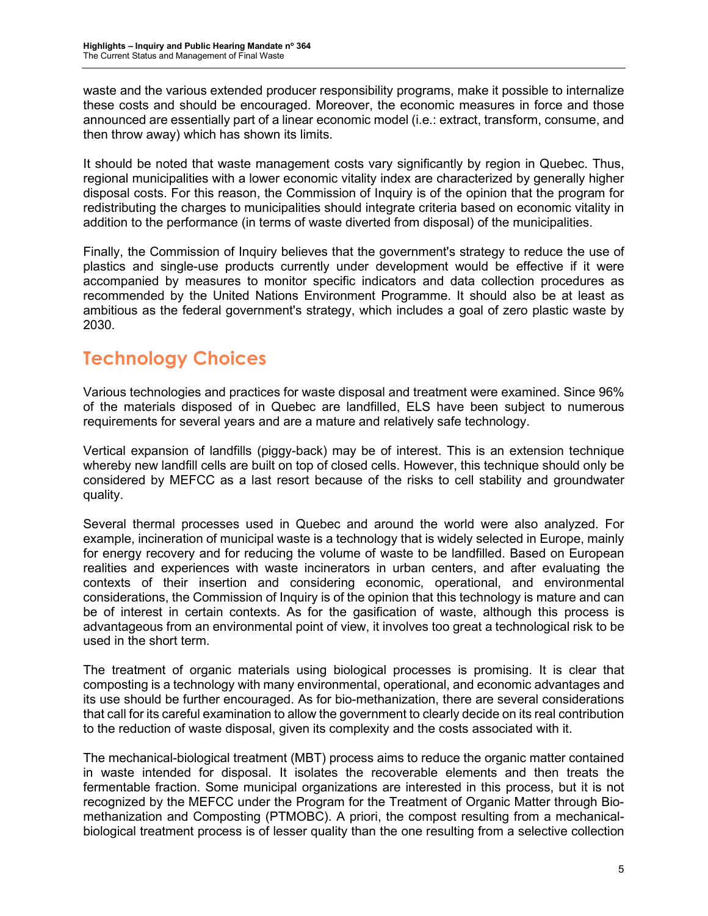waste and the various extended producer responsibility programs, make it possible to internalize these costs and should be encouraged. Moreover, the economic measures in force and those announced are essentially part of a linear economic model (i.e.: extract, transform, consume, and then throw away) which has shown its limits.

It should be noted that waste management costs vary significantly by region in Quebec. Thus, regional municipalities with a lower economic vitality index are characterized by generally higher disposal costs. For this reason, the Commission of Inquiry is of the opinion that the program for redistributing the charges to municipalities should integrate criteria based on economic vitality in addition to the performance (in terms of waste diverted from disposal) of the municipalities.

Finally, the Commission of Inquiry believes that the government's strategy to reduce the use of plastics and single-use products currently under development would be effective if it were accompanied by measures to monitor specific indicators and data collection procedures as recommended by the United Nations Environment Programme. It should also be at least as ambitious as the federal government's strategy, which includes a goal of zero plastic waste by 2030.

### **Technology Choices**

Various technologies and practices for waste disposal and treatment were examined. Since 96% of the materials disposed of in Quebec are landfilled, ELS have been subject to numerous requirements for several years and are a mature and relatively safe technology.

Vertical expansion of landfills (piggy-back) may be of interest. This is an extension technique whereby new landfill cells are built on top of closed cells. However, this technique should only be considered by MEFCC as a last resort because of the risks to cell stability and groundwater quality.

Several thermal processes used in Quebec and around the world were also analyzed. For example, incineration of municipal waste is a technology that is widely selected in Europe, mainly for energy recovery and for reducing the volume of waste to be landfilled. Based on European realities and experiences with waste incinerators in urban centers, and after evaluating the contexts of their insertion and considering economic, operational, and environmental considerations, the Commission of Inquiry is of the opinion that this technology is mature and can be of interest in certain contexts. As for the gasification of waste, although this process is advantageous from an environmental point of view, it involves too great a technological risk to be used in the short term.

The treatment of organic materials using biological processes is promising. It is clear that composting is a technology with many environmental, operational, and economic advantages and its use should be further encouraged. As for bio-methanization, there are several considerations that call for its careful examination to allow the government to clearly decide on its real contribution to the reduction of waste disposal, given its complexity and the costs associated with it.

The mechanical-biological treatment (MBT) process aims to reduce the organic matter contained in waste intended for disposal. It isolates the recoverable elements and then treats the fermentable fraction. Some municipal organizations are interested in this process, but it is not recognized by the MEFCC under the Program for the Treatment of Organic Matter through Biomethanization and Composting (PTMOBC). A priori, the compost resulting from a mechanicalbiological treatment process is of lesser quality than the one resulting from a selective collection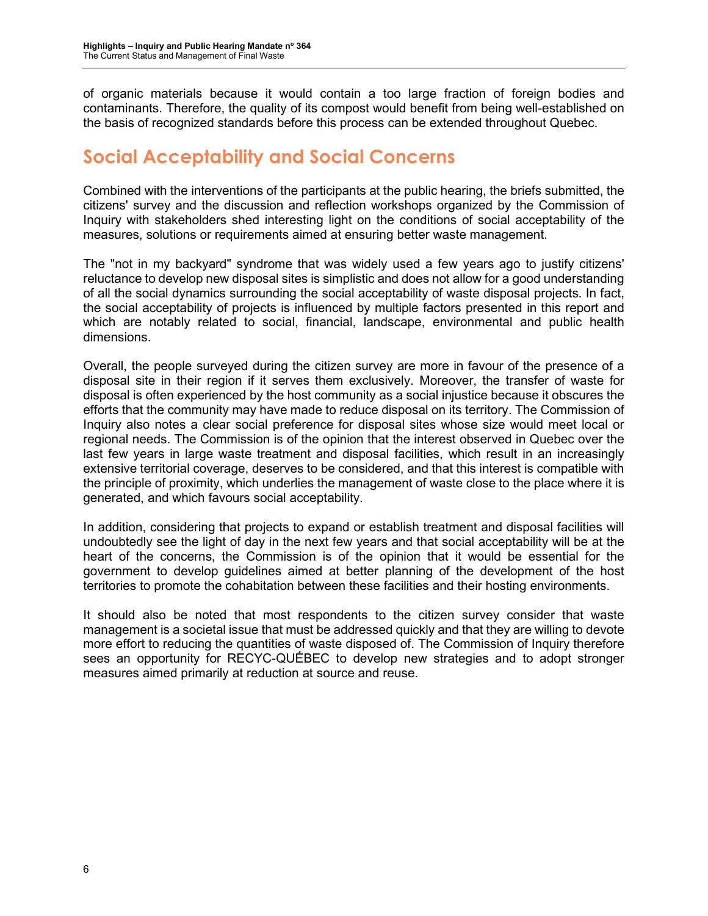of organic materials because it would contain a too large fraction of foreign bodies and contaminants. Therefore, the quality of its compost would benefit from being well-established on the basis of recognized standards before this process can be extended throughout Quebec.

#### **Social Acceptability and Social Concerns**

Combined with the interventions of the participants at the public hearing, the briefs submitted, the citizens' survey and the discussion and reflection workshops organized by the Commission of Inquiry with stakeholders shed interesting light on the conditions of social acceptability of the measures, solutions or requirements aimed at ensuring better waste management.

The "not in my backyard" syndrome that was widely used a few years ago to justify citizens' reluctance to develop new disposal sites is simplistic and does not allow for a good understanding of all the social dynamics surrounding the social acceptability of waste disposal projects. In fact, the social acceptability of projects is influenced by multiple factors presented in this report and which are notably related to social, financial, landscape, environmental and public health dimensions.

Overall, the people surveyed during the citizen survey are more in favour of the presence of a disposal site in their region if it serves them exclusively. Moreover, the transfer of waste for disposal is often experienced by the host community as a social injustice because it obscures the efforts that the community may have made to reduce disposal on its territory. The Commission of Inquiry also notes a clear social preference for disposal sites whose size would meet local or regional needs. The Commission is of the opinion that the interest observed in Quebec over the last few years in large waste treatment and disposal facilities, which result in an increasingly extensive territorial coverage, deserves to be considered, and that this interest is compatible with the principle of proximity, which underlies the management of waste close to the place where it is generated, and which favours social acceptability.

In addition, considering that projects to expand or establish treatment and disposal facilities will undoubtedly see the light of day in the next few years and that social acceptability will be at the heart of the concerns, the Commission is of the opinion that it would be essential for the government to develop guidelines aimed at better planning of the development of the host territories to promote the cohabitation between these facilities and their hosting environments.

It should also be noted that most respondents to the citizen survey consider that waste management is a societal issue that must be addressed quickly and that they are willing to devote more effort to reducing the quantities of waste disposed of. The Commission of Inquiry therefore sees an opportunity for RECYC-QUÉBEC to develop new strategies and to adopt stronger measures aimed primarily at reduction at source and reuse.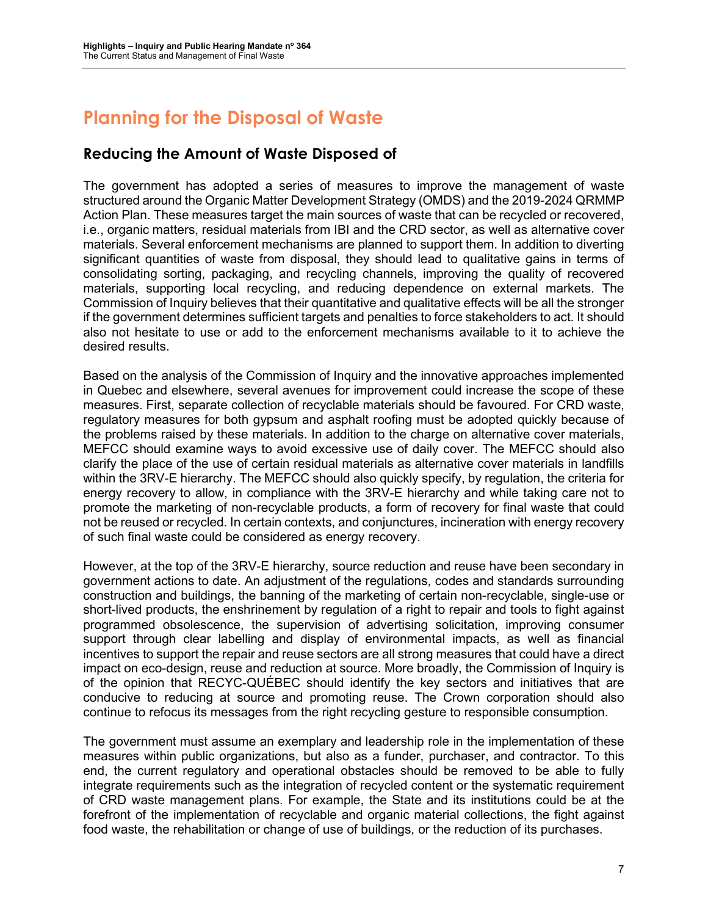### **Planning for the Disposal of Waste**

#### **Reducing the Amount of Waste Disposed of**

The government has adopted a series of measures to improve the management of waste structured around the Organic Matter Development Strategy (OMDS) and the 2019-2024 QRMMP Action Plan. These measures target the main sources of waste that can be recycled or recovered, i.e., organic matters, residual materials from IBI and the CRD sector, as well as alternative cover materials. Several enforcement mechanisms are planned to support them. In addition to diverting significant quantities of waste from disposal, they should lead to qualitative gains in terms of consolidating sorting, packaging, and recycling channels, improving the quality of recovered materials, supporting local recycling, and reducing dependence on external markets. The Commission of Inquiry believes that their quantitative and qualitative effects will be all the stronger if the government determines sufficient targets and penalties to force stakeholders to act. It should also not hesitate to use or add to the enforcement mechanisms available to it to achieve the desired results.

Based on the analysis of the Commission of Inquiry and the innovative approaches implemented in Quebec and elsewhere, several avenues for improvement could increase the scope of these measures. First, separate collection of recyclable materials should be favoured. For CRD waste, regulatory measures for both gypsum and asphalt roofing must be adopted quickly because of the problems raised by these materials. In addition to the charge on alternative cover materials, MEFCC should examine ways to avoid excessive use of daily cover. The MEFCC should also clarify the place of the use of certain residual materials as alternative cover materials in landfills within the 3RV-E hierarchy. The MEFCC should also quickly specify, by regulation, the criteria for energy recovery to allow, in compliance with the 3RV-E hierarchy and while taking care not to promote the marketing of non-recyclable products, a form of recovery for final waste that could not be reused or recycled. In certain contexts, and conjunctures, incineration with energy recovery of such final waste could be considered as energy recovery.

However, at the top of the 3RV-E hierarchy, source reduction and reuse have been secondary in government actions to date. An adjustment of the regulations, codes and standards surrounding construction and buildings, the banning of the marketing of certain non-recyclable, single-use or short-lived products, the enshrinement by regulation of a right to repair and tools to fight against programmed obsolescence, the supervision of advertising solicitation, improving consumer support through clear labelling and display of environmental impacts, as well as financial incentives to support the repair and reuse sectors are all strong measures that could have a direct impact on eco-design, reuse and reduction at source. More broadly, the Commission of Inquiry is of the opinion that RECYC-QUÉBEC should identify the key sectors and initiatives that are conducive to reducing at source and promoting reuse. The Crown corporation should also continue to refocus its messages from the right recycling gesture to responsible consumption.

The government must assume an exemplary and leadership role in the implementation of these measures within public organizations, but also as a funder, purchaser, and contractor. To this end, the current regulatory and operational obstacles should be removed to be able to fully integrate requirements such as the integration of recycled content or the systematic requirement of CRD waste management plans. For example, the State and its institutions could be at the forefront of the implementation of recyclable and organic material collections, the fight against food waste, the rehabilitation or change of use of buildings, or the reduction of its purchases.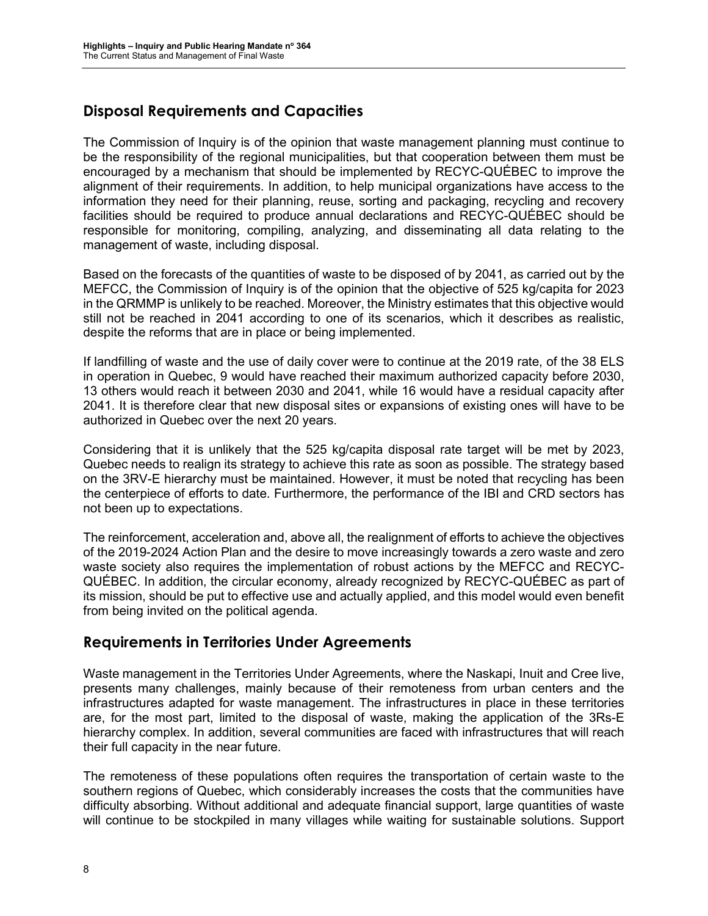#### **Disposal Requirements and Capacities**

The Commission of Inquiry is of the opinion that waste management planning must continue to be the responsibility of the regional municipalities, but that cooperation between them must be encouraged by a mechanism that should be implemented by RECYC-QUÉBEC to improve the alignment of their requirements. In addition, to help municipal organizations have access to the information they need for their planning, reuse, sorting and packaging, recycling and recovery facilities should be required to produce annual declarations and RECYC-QUÉBEC should be responsible for monitoring, compiling, analyzing, and disseminating all data relating to the management of waste, including disposal.

Based on the forecasts of the quantities of waste to be disposed of by 2041, as carried out by the MEFCC, the Commission of Inquiry is of the opinion that the objective of 525 kg/capita for 2023 in the QRMMP is unlikely to be reached. Moreover, the Ministry estimates that this objective would still not be reached in 2041 according to one of its scenarios, which it describes as realistic, despite the reforms that are in place or being implemented.

If landfilling of waste and the use of daily cover were to continue at the 2019 rate, of the 38 ELS in operation in Quebec, 9 would have reached their maximum authorized capacity before 2030, 13 others would reach it between 2030 and 2041, while 16 would have a residual capacity after 2041. It is therefore clear that new disposal sites or expansions of existing ones will have to be authorized in Quebec over the next 20 years.

Considering that it is unlikely that the 525 kg/capita disposal rate target will be met by 2023, Quebec needs to realign its strategy to achieve this rate as soon as possible. The strategy based on the 3RV-E hierarchy must be maintained. However, it must be noted that recycling has been the centerpiece of efforts to date. Furthermore, the performance of the IBI and CRD sectors has not been up to expectations.

The reinforcement, acceleration and, above all, the realignment of efforts to achieve the objectives of the 2019-2024 Action Plan and the desire to move increasingly towards a zero waste and zero waste society also requires the implementation of robust actions by the MEFCC and RECYC-QUÉBEC. In addition, the circular economy, already recognized by RECYC-QUÉBEC as part of its mission, should be put to effective use and actually applied, and this model would even benefit from being invited on the political agenda.

#### **Requirements in Territories Under Agreements**

Waste management in the Territories Under Agreements, where the Naskapi, Inuit and Cree live, presents many challenges, mainly because of their remoteness from urban centers and the infrastructures adapted for waste management. The infrastructures in place in these territories are, for the most part, limited to the disposal of waste, making the application of the 3Rs-E hierarchy complex. In addition, several communities are faced with infrastructures that will reach their full capacity in the near future.

The remoteness of these populations often requires the transportation of certain waste to the southern regions of Quebec, which considerably increases the costs that the communities have difficulty absorbing. Without additional and adequate financial support, large quantities of waste will continue to be stockpiled in many villages while waiting for sustainable solutions. Support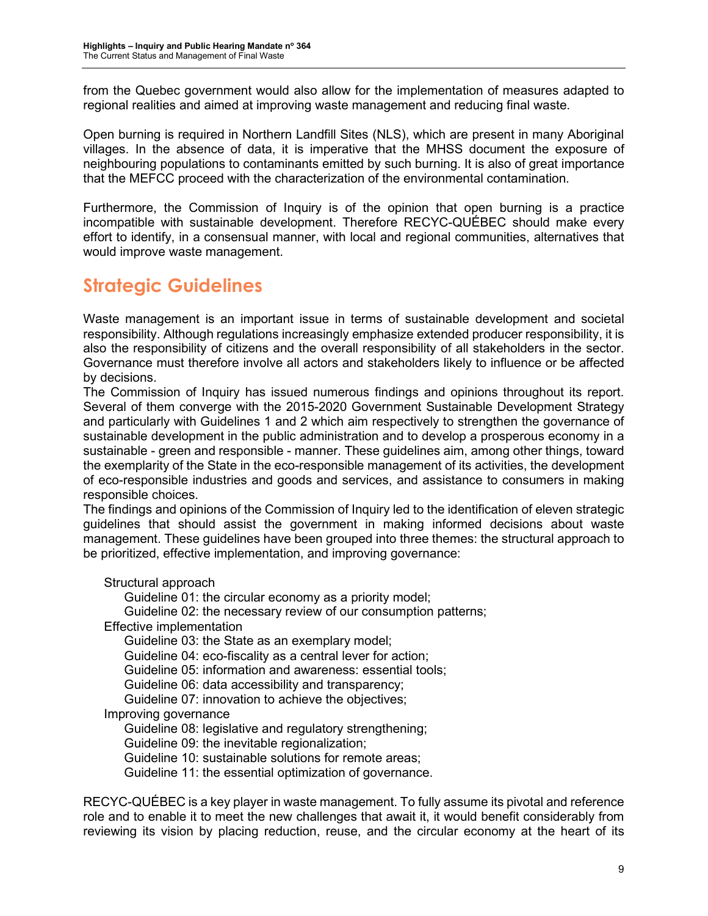from the Quebec government would also allow for the implementation of measures adapted to regional realities and aimed at improving waste management and reducing final waste.

Open burning is required in Northern Landfill Sites (NLS), which are present in many Aboriginal villages. In the absence of data, it is imperative that the MHSS document the exposure of neighbouring populations to contaminants emitted by such burning. It is also of great importance that the MEFCC proceed with the characterization of the environmental contamination.

Furthermore, the Commission of Inquiry is of the opinion that open burning is a practice incompatible with sustainable development. Therefore RECYC-QUÉBEC should make every effort to identify, in a consensual manner, with local and regional communities, alternatives that would improve waste management.

### **Strategic Guidelines**

Waste management is an important issue in terms of sustainable development and societal responsibility. Although regulations increasingly emphasize extended producer responsibility, it is also the responsibility of citizens and the overall responsibility of all stakeholders in the sector. Governance must therefore involve all actors and stakeholders likely to influence or be affected by decisions.

The Commission of Inquiry has issued numerous findings and opinions throughout its report. Several of them converge with the 2015-2020 Government Sustainable Development Strategy and particularly with Guidelines 1 and 2 which aim respectively to strengthen the governance of sustainable development in the public administration and to develop a prosperous economy in a sustainable - green and responsible - manner. These guidelines aim, among other things, toward the exemplarity of the State in the eco-responsible management of its activities, the development of eco-responsible industries and goods and services, and assistance to consumers in making responsible choices.

The findings and opinions of the Commission of Inquiry led to the identification of eleven strategic guidelines that should assist the government in making informed decisions about waste management. These guidelines have been grouped into three themes: the structural approach to be prioritized, effective implementation, and improving governance:

Structural approach

Guideline 01: the circular economy as a priority model;

Guideline 02: the necessary review of our consumption patterns;

Effective implementation

Guideline 03: the State as an exemplary model;

Guideline 04: eco-fiscality as a central lever for action;

Guideline 05: information and awareness: essential tools;

Guideline 06: data accessibility and transparency;

Guideline 07: innovation to achieve the objectives;

Improving governance

Guideline 08: legislative and regulatory strengthening;

Guideline 09: the inevitable regionalization;

Guideline 10: sustainable solutions for remote areas;

Guideline 11: the essential optimization of governance.

RECYC-QUÉBEC is a key player in waste management. To fully assume its pivotal and reference role and to enable it to meet the new challenges that await it, it would benefit considerably from reviewing its vision by placing reduction, reuse, and the circular economy at the heart of its